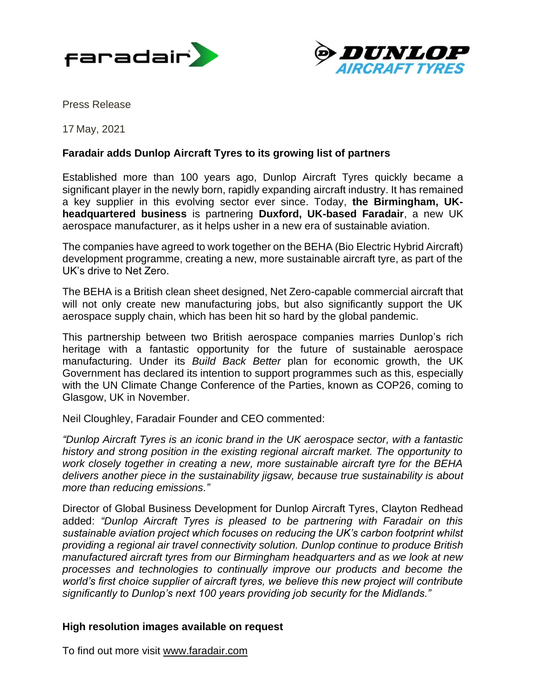



Press Release

17 May, 2021

# **Faradair adds Dunlop Aircraft Tyres to its growing list of partners**

Established more than 100 years ago, Dunlop Aircraft Tyres quickly became a significant player in the newly born, rapidly expanding aircraft industry. It has remained a key supplier in this evolving sector ever since. Today, **the Birmingham, UKheadquartered business** is partnering **Duxford, UK-based Faradair**, a new UK aerospace manufacturer, as it helps usher in a new era of sustainable aviation.

The companies have agreed to work together on the BEHA (Bio Electric Hybrid Aircraft) development programme, creating a new, more sustainable aircraft tyre, as part of the UK's drive to Net Zero.

The BEHA is a British clean sheet designed, Net Zero-capable commercial aircraft that will not only create new manufacturing jobs, but also significantly support the UK aerospace supply chain, which has been hit so hard by the global pandemic.

This partnership between two British aerospace companies marries Dunlop's rich heritage with a fantastic opportunity for the future of sustainable aerospace manufacturing. Under its *Build Back Better* plan for economic growth, the UK Government has declared its intention to support programmes such as this, especially with the UN Climate Change Conference of the Parties, known as COP26, coming to Glasgow, UK in November.

Neil Cloughley, Faradair Founder and CEO commented:

*"Dunlop Aircraft Tyres is an iconic brand in the UK aerospace sector, with a fantastic history and strong position in the existing regional aircraft market. The opportunity to work closely together in creating a new, more sustainable aircraft tyre for the BEHA delivers another piece in the sustainability jigsaw, because true sustainability is about more than reducing emissions."*

Director of Global Business Development for Dunlop Aircraft Tyres, Clayton Redhead added: *"Dunlop Aircraft Tyres is pleased to be partnering with Faradair on this sustainable aviation project which focuses on reducing the UK's carbon footprint whilst providing a regional air travel connectivity solution. Dunlop continue to produce British manufactured aircraft tyres from our Birmingham headquarters and as we look at new processes and technologies to continually improve our products and become the world's first choice supplier of aircraft tyres, we believe this new project will contribute significantly to Dunlop's next 100 years providing job security for the Midlands."*

## **High resolution images available on request**

To find out more visit [www.faradair.com](http://www.faradair.com/)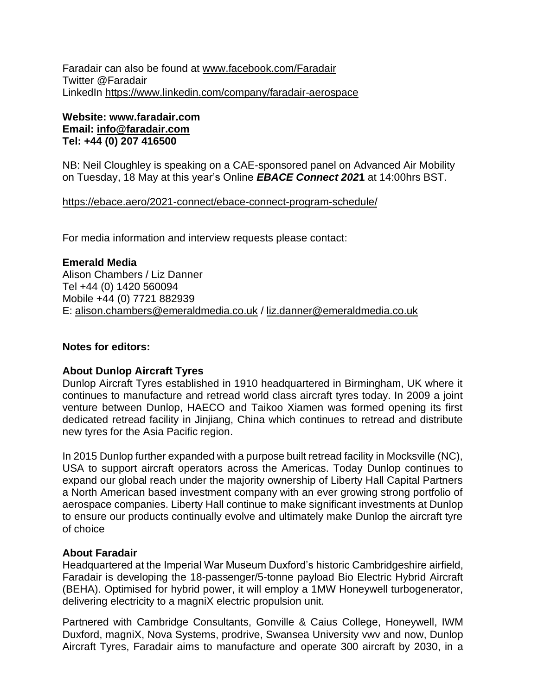Faradair can also be found at [www.facebook.com/Faradair](http://www.facebook.com/Faradair) Twitter @Faradair LinkedIn<https://www.linkedin.com/company/faradair-aerospace>

# **Website: www.faradair.com Email: [info@faradair.com](mailto:info@faradair.com) Tel: +44 (0) 207 416500**

NB: Neil Cloughley is speaking on a CAE-sponsored panel on Advanced Air Mobility on Tuesday, 18 May at this year's Online *EBACE Connect 202***1** at 14:00hrs BST.

<https://ebace.aero/2021-connect/ebace-connect-program-schedule/>

For media information and interview requests please contact:

**Emerald Media** Alison Chambers / Liz Danner Tel +44 (0) 1420 560094 Mobile +44 (0) 7721 882939 E: [alison.chambers@emeraldmedia.co.uk](mailto:alison.chambers@emeraldmedia.co.uk) / [liz.danner@emeraldmedia.co.uk](mailto:liz.danner@emeraldmedia.co.uk)

# **Notes for editors:**

## **About Dunlop Aircraft Tyres**

Dunlop Aircraft Tyres established in 1910 headquartered in Birmingham, UK where it continues to manufacture and retread world class aircraft tyres today. In 2009 a joint venture between Dunlop, HAECO and Taikoo Xiamen was formed opening its first dedicated retread facility in Jinjiang, China which continues to retread and distribute new tyres for the Asia Pacific region.

In 2015 Dunlop further expanded with a purpose built retread facility in Mocksville (NC), USA to support aircraft operators across the Americas. Today Dunlop continues to expand our global reach under the majority ownership of Liberty Hall Capital Partners a North American based investment company with an ever growing strong portfolio of aerospace companies. Liberty Hall continue to make significant investments at Dunlop to ensure our products continually evolve and ultimately make Dunlop the aircraft tyre of choice

## **About Faradair**

Headquartered at the Imperial War Museum Duxford's historic Cambridgeshire airfield, Faradair is developing the 18-passenger/5-tonne payload Bio Electric Hybrid Aircraft (BEHA). Optimised for hybrid power, it will employ a 1MW Honeywell turbogenerator, delivering electricity to a magniX electric propulsion unit.

Partnered with Cambridge Consultants, Gonville & Caius College, Honeywell, IWM Duxford, magniX, Nova Systems, prodrive, Swansea University vwv and now, Dunlop Aircraft Tyres, Faradair aims to manufacture and operate 300 aircraft by 2030, in a